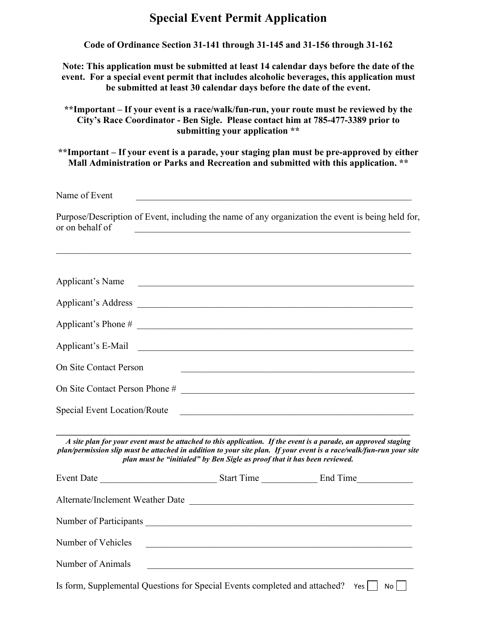## **Special Event Permit Application**

**Code of Ordinance Section 31-141 through 31-145 and 31-156 through 31-162**

**Note: This application must be submitted at least 14 calendar days before the date of the event. For a special event permit that includes alcoholic beverages, this application must be submitted at least 30 calendar days before the date of the event.**

**\*\*Important – If your event is a race/walk/fun-run, your route must be reviewed by the City's Race Coordinator - Ben Sigle. Please contact him at 785-477-3389 prior to submitting your application \*\***

**\*\*Important – If your event is a parade, your staging plan must be pre-approved by either Mall Administration or Parks and Recreation and submitted with this application. \*\***

Name of Event

Purpose/Description of Event, including the name of any organization the event is being held for, or on behalf of

| <b>Applicant's Name</b>           |  |
|-----------------------------------|--|
|                                   |  |
|                                   |  |
| Applicant's E-Mail <u>example</u> |  |
| <b>On Site Contact Person</b>     |  |
|                                   |  |
|                                   |  |
|                                   |  |

*A site plan for your event must be attached to this application. If the event is a parade, an approved staging plan/permission slip must be attached in addition to your site plan. If your event is a race/walk/fun-run your site plan must be "initialed" by Ben Sigle as proof that it has been reviewed.*

| Event Date                       | Start Time                                                                                                            | End Time |  |
|----------------------------------|-----------------------------------------------------------------------------------------------------------------------|----------|--|
| Alternate/Inclement Weather Date | <u> 1989 - Johann Stein, mars and der Stein and der Stein and der Stein and der Stein and der Stein and der Stein</u> |          |  |
|                                  |                                                                                                                       |          |  |
| Number of Vehicles               |                                                                                                                       |          |  |
| Number of Animals                | <u> 1980 - John Barnett, fransk politiker (d. 1980)</u>                                                               |          |  |
|                                  |                                                                                                                       |          |  |

Is form, Supplemental Questions for Special Events completed and attached?  $Yes \mid \mathbf{N}o \mid \mathbf{N}$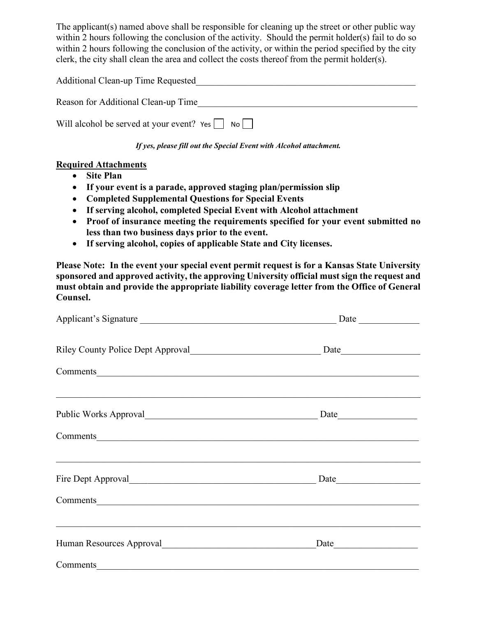The applicant(s) named above shall be responsible for cleaning up the street or other public way within 2 hours following the conclusion of the activity. Should the permit holder(s) fail to do so within 2 hours following the conclusion of the activity, or within the period specified by the city clerk, the city shall clean the area and collect the costs thereof from the permit holder(s).

| Additional Clean-up Time Requested                                       |  |
|--------------------------------------------------------------------------|--|
| Reason for Additional Clean-up Time                                      |  |
| Will alcohol be served at your event? $Yes \mid \text{No} \mid \text{[}$ |  |

*If yes, please fill out the Special Event with Alcohol attachment.*

## **Required Attachments**

- **Site Plan**
- **If your event is a parade, approved staging plan/permission slip**
- **Completed Supplemental Questions for Special Events**
- **If serving alcohol, completed Special Event with Alcohol attachment**
- **Proof of insurance meeting the requirements specified for your event submitted no less than two business days prior to the event.**
- **If serving alcohol, copies of applicable State and City licenses.**

**Please Note: In the event your special event permit request is for a Kansas State University sponsored and approved activity, the approving University official must sign the request and must obtain and provide the appropriate liability coverage letter from the Office of General Counsel.**

| Applicant's Signature                                                                                                                                                                                                               | Date                                                                                                                                                                                                                                                                                                                                                                |  |
|-------------------------------------------------------------------------------------------------------------------------------------------------------------------------------------------------------------------------------------|---------------------------------------------------------------------------------------------------------------------------------------------------------------------------------------------------------------------------------------------------------------------------------------------------------------------------------------------------------------------|--|
|                                                                                                                                                                                                                                     |                                                                                                                                                                                                                                                                                                                                                                     |  |
|                                                                                                                                                                                                                                     |                                                                                                                                                                                                                                                                                                                                                                     |  |
| Comments <u>and</u> the comments of the comments of the comments of the comments of the comments of the comments of the comments of the comments of the comments of the comments of the comments of the comments of the comments of |                                                                                                                                                                                                                                                                                                                                                                     |  |
|                                                                                                                                                                                                                                     |                                                                                                                                                                                                                                                                                                                                                                     |  |
|                                                                                                                                                                                                                                     | $\frac{Date_1}{\frac{Date_2}{\frac{E_1}{\frac{E_1}{\frac{E_1}{\frac{E_1}{\frac{E_1}{\frac{E_1}{\frac{E_1}{\frac{E_1}{\frac{E_1}{\frac{E_1}{\frac{E_1}{\frac{E_1}{\frac{E_1}{\frac{E_1}{\frac{E_1}{\frac{E_1}{\frac{E_1}{\frac{E_1}{\frac{E_1}{\frac{E_1}{\frac{E_1}{\frac{E_1}{\frac{E_1}{\frac{E_1}{\frac{E_1}{\frac{E_1}{\frac{E_1}{\frac{E_1}{\frac{E_1}{\frac{$ |  |
| Comments and the comments of the comments of the comments of the comments of the comments of the comments of the comments of the comments of the comments of the comments of the comments of the comments of the comments of t      |                                                                                                                                                                                                                                                                                                                                                                     |  |
|                                                                                                                                                                                                                                     |                                                                                                                                                                                                                                                                                                                                                                     |  |
|                                                                                                                                                                                                                                     |                                                                                                                                                                                                                                                                                                                                                                     |  |
| Comments <u>comments</u>                                                                                                                                                                                                            |                                                                                                                                                                                                                                                                                                                                                                     |  |
|                                                                                                                                                                                                                                     |                                                                                                                                                                                                                                                                                                                                                                     |  |
|                                                                                                                                                                                                                                     |                                                                                                                                                                                                                                                                                                                                                                     |  |
| Comments <u>comments</u>                                                                                                                                                                                                            |                                                                                                                                                                                                                                                                                                                                                                     |  |